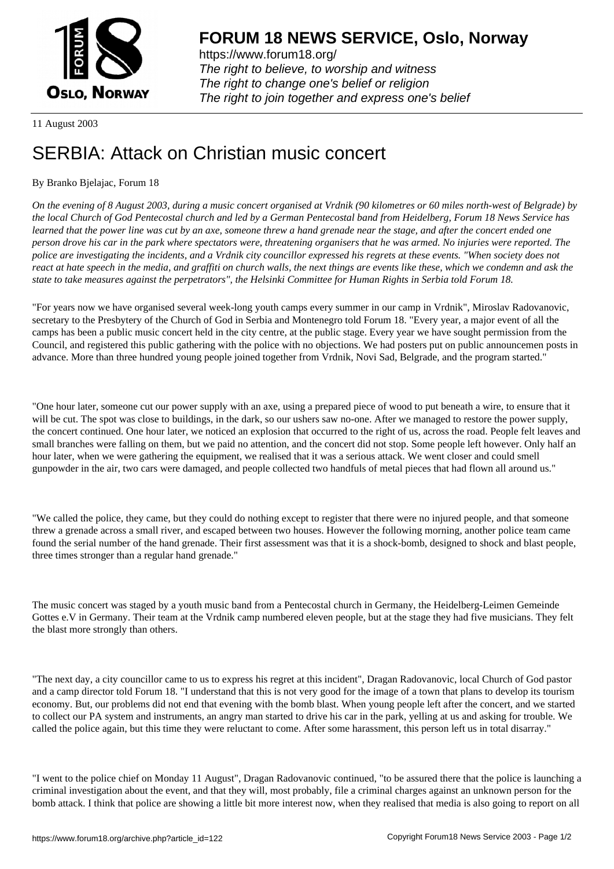

https://www.forum18.org/ The right to believe, to worship and witness The right to change one's belief or religion [The right to join together a](https://www.forum18.org/)nd express one's belief

11 August 2003

## [SERBIA: Attack](https://www.forum18.org) on Christian music concert

## By Branko Bjelajac, Forum 18

*On the evening of 8 August 2003, during a music concert organised at Vrdnik (90 kilometres or 60 miles north-west of Belgrade) by the local Church of God Pentecostal church and led by a German Pentecostal band from Heidelberg, Forum 18 News Service has learned that the power line was cut by an axe, someone threw a hand grenade near the stage, and after the concert ended one person drove his car in the park where spectators were, threatening organisers that he was armed. No injuries were reported. The police are investigating the incidents, and a Vrdnik city councillor expressed his regrets at these events. "When society does not react at hate speech in the media, and graffiti on church walls, the next things are events like these, which we condemn and ask the state to take measures against the perpetrators", the Helsinki Committee for Human Rights in Serbia told Forum 18.*

"For years now we have organised several week-long youth camps every summer in our camp in Vrdnik", Miroslav Radovanovic, secretary to the Presbytery of the Church of God in Serbia and Montenegro told Forum 18. "Every year, a major event of all the camps has been a public music concert held in the city centre, at the public stage. Every year we have sought permission from the Council, and registered this public gathering with the police with no objections. We had posters put on public announcemen posts in advance. More than three hundred young people joined together from Vrdnik, Novi Sad, Belgrade, and the program started."

"One hour later, someone cut our power supply with an axe, using a prepared piece of wood to put beneath a wire, to ensure that it will be cut. The spot was close to buildings, in the dark, so our ushers saw no-one. After we managed to restore the power supply, the concert continued. One hour later, we noticed an explosion that occurred to the right of us, across the road. People felt leaves and small branches were falling on them, but we paid no attention, and the concert did not stop. Some people left however. Only half an hour later, when we were gathering the equipment, we realised that it was a serious attack. We went closer and could smell gunpowder in the air, two cars were damaged, and people collected two handfuls of metal pieces that had flown all around us."

"We called the police, they came, but they could do nothing except to register that there were no injured people, and that someone threw a grenade across a small river, and escaped between two houses. However the following morning, another police team came found the serial number of the hand grenade. Their first assessment was that it is a shock-bomb, designed to shock and blast people, three times stronger than a regular hand grenade."

The music concert was staged by a youth music band from a Pentecostal church in Germany, the Heidelberg-Leimen Gemeinde Gottes e.V in Germany. Their team at the Vrdnik camp numbered eleven people, but at the stage they had five musicians. They felt the blast more strongly than others.

"The next day, a city councillor came to us to express his regret at this incident", Dragan Radovanovic, local Church of God pastor and a camp director told Forum 18. "I understand that this is not very good for the image of a town that plans to develop its tourism economy. But, our problems did not end that evening with the bomb blast. When young people left after the concert, and we started to collect our PA system and instruments, an angry man started to drive his car in the park, yelling at us and asking for trouble. We called the police again, but this time they were reluctant to come. After some harassment, this person left us in total disarray."

"I went to the police chief on Monday 11 August", Dragan Radovanovic continued, "to be assured there that the police is launching a criminal investigation about the event, and that they will, most probably, file a criminal charges against an unknown person for the bomb attack. I think that police are showing a little bit more interest now, when they realised that media is also going to report on all